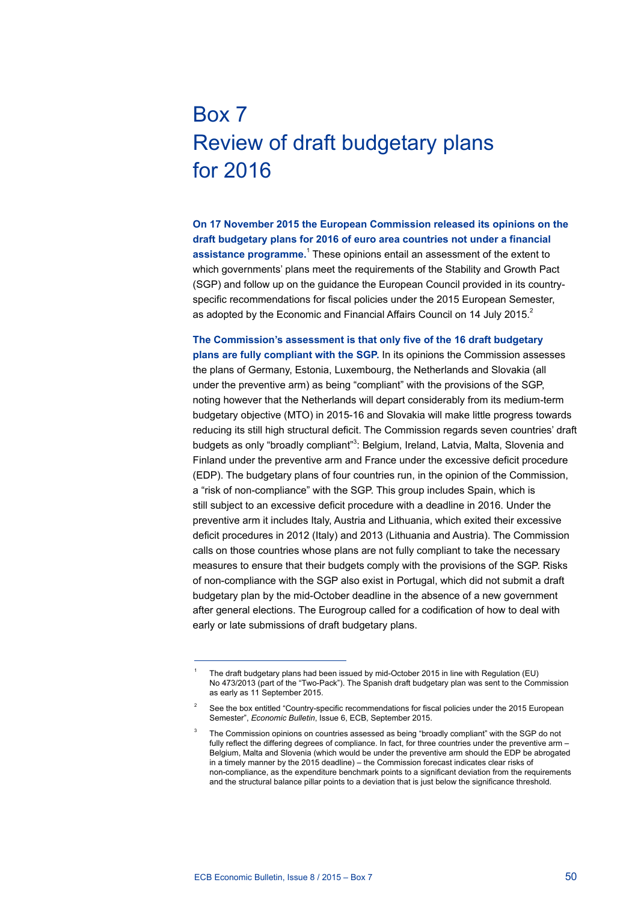## Box 7 Review of draft budgetary plans for 2016

**On 17 November 2015 the European Commission released its opinions on the draft budgetary plans for 2016 of euro area countries not under a financial**  assistance programme.<sup>1</sup> These opinions entail an assessment of the extent to which governments' plans meet the requirements of the Stability and Growth Pact (SGP) and follow up on the guidance the European Council provided in its countryspecific recommendations for fiscal policies under the 2015 European Semester, as adopted by the Economic and Financial Affairs Council on 14 July 2015.<sup>2</sup>

**The Commission's assessment is that only five of the 16 draft budgetary plans are fully compliant with the SGP.** In its opinions the Commission assesses the plans of Germany, Estonia, Luxembourg, the Netherlands and Slovakia (all under the preventive arm) as being "compliant" with the provisions of the SGP, noting however that the Netherlands will depart considerably from its medium-term budgetary objective (MTO) in 2015-16 and Slovakia will make little progress towards reducing its still high structural deficit. The Commission regards seven countries' draft budgets as only "broadly compliant"<sup>3</sup>: Belgium, Ireland, Latvia, Malta, Slovenia and Finland under the preventive arm and France under the excessive deficit procedure (EDP). The budgetary plans of four countries run, in the opinion of the Commission, a "risk of non-compliance" with the SGP. This group includes Spain, which is still subject to an excessive deficit procedure with a deadline in 2016. Under the preventive arm it includes Italy, Austria and Lithuania, which exited their excessive deficit procedures in 2012 (Italy) and 2013 (Lithuania and Austria). The Commission calls on those countries whose plans are not fully compliant to take the necessary measures to ensure that their budgets comply with the provisions of the SGP. Risks of non-compliance with the SGP also exist in Portugal, which did not submit a draft budgetary plan by the mid-October deadline in the absence of a new government after general elections. The Eurogroup called for a codification of how to deal with early or late submissions of draft budgetary plans.

<sup>1</sup> The draft budgetary plans had been issued by mid-October 2015 in line with Regulation (EU) No 473/2013 (part of the "Two-Pack"). The Spanish draft budgetary plan was sent to the Commission as early as 11 September 2015.

See the box entitled "Country-specific recommendations for fiscal policies under the 2015 European Semester", *Economic Bulletin*, Issue 6, ECB, September 2015.

<sup>3</sup> The Commission opinions on countries assessed as being "broadly compliant" with the SGP do not fully reflect the differing degrees of compliance. In fact, for three countries under the preventive arm -Belgium, Malta and Slovenia (which would be under the preventive arm should the EDP be abrogated in a timely manner by the 2015 deadline) – the Commission forecast indicates clear risks of non-compliance, as the expenditure benchmark points to a significant deviation from the requirements and the structural balance pillar points to a deviation that is just below the significance threshold.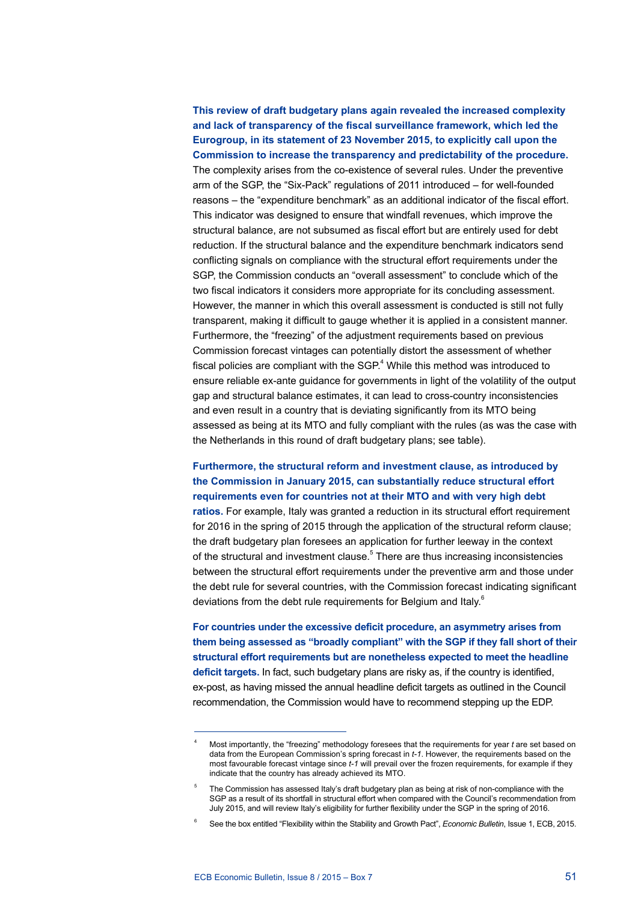**This review of draft budgetary plans again revealed the increased complexity and lack of transparency of the fiscal surveillance framework, which led the Eurogroup, in its statement of 23 November 2015, to explicitly call upon the Commission to increase the transparency and predictability of the procedure.** The complexity arises from the co-existence of several rules. Under the preventive arm of the SGP, the "Six-Pack" regulations of 2011 introduced – for well-founded reasons – the "expenditure benchmark" as an additional indicator of the fiscal effort. This indicator was designed to ensure that windfall revenues, which improve the structural balance, are not subsumed as fiscal effort but are entirely used for debt reduction. If the structural balance and the expenditure benchmark indicators send conflicting signals on compliance with the structural effort requirements under the SGP, the Commission conducts an "overall assessment" to conclude which of the two fiscal indicators it considers more appropriate for its concluding assessment. However, the manner in which this overall assessment is conducted is still not fully transparent, making it difficult to gauge whether it is applied in a consistent manner. Furthermore, the "freezing" of the adjustment requirements based on previous Commission forecast vintages can potentially distort the assessment of whether fiscal policies are compliant with the SGP. $4$  While this method was introduced to ensure reliable ex-ante guidance for governments in light of the volatility of the output gap and structural balance estimates, it can lead to cross-country inconsistencies and even result in a country that is deviating significantly from its MTO being assessed as being at its MTO and fully compliant with the rules (as was the case with the Netherlands in this round of draft budgetary plans; see table).

## **Furthermore, the structural reform and investment clause, as introduced by the Commission in January 2015, can substantially reduce structural effort requirements even for countries not at their MTO and with very high debt**

**ratios.** For example, Italy was granted a reduction in its structural effort requirement for 2016 in the spring of 2015 through the application of the structural reform clause; the draft budgetary plan foresees an application for further leeway in the context of the structural and investment clause.<sup>5</sup> There are thus increasing inconsistencies between the structural effort requirements under the preventive arm and those under the debt rule for several countries, with the Commission forecast indicating significant deviations from the debt rule requirements for Belgium and Italy.<sup>6</sup>

**For countries under the excessive deficit procedure, an asymmetry arises from them being assessed as "broadly compliant" with the SGP if they fall short of their structural effort requirements but are nonetheless expected to meet the headline deficit targets.** In fact, such budgetary plans are risky as, if the country is identified, ex-post, as having missed the annual headline deficit targets as outlined in the Council recommendation, the Commission would have to recommend stepping up the EDP.

<sup>4</sup> Most importantly, the "freezing" methodology foresees that the requirements for year *t* are set based on data from the European Commission's spring forecast in *t-1*. However, the requirements based on the most favourable forecast vintage since *t-1* will prevail over the frozen requirements, for example if they indicate that the country has already achieved its MTO.

The Commission has assessed Italy's draft budgetary plan as being at risk of non-compliance with the SGP as a result of its shortfall in structural effort when compared with the Council's recommendation from July 2015, and will review Italy's eligibility for further flexibility under the SGP in the spring of 2016.

<sup>6</sup> See the box entitled "Flexibility within the Stability and Growth Pact", *Economic Bulletin*, Issue 1, ECB, 2015.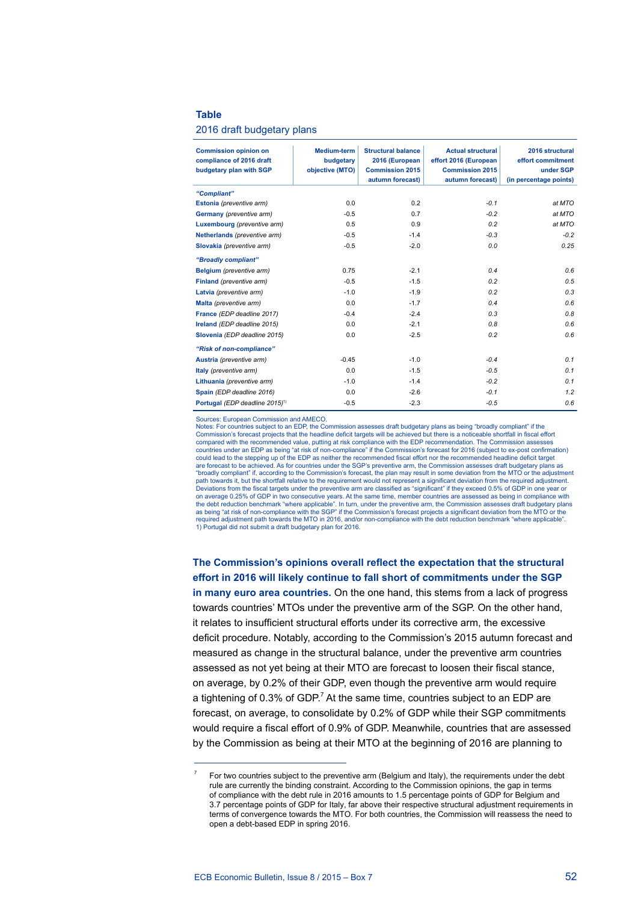## **Table**

## 2016 draft budgetary plans

| <b>Commission opinion on</b><br>compliance of 2016 draft<br>budgetary plan with SGP | <b>Medium-term</b><br>budgetary<br>objective (MTO) | <b>Structural balance</b><br>2016 (European<br><b>Commission 2015</b><br>autumn forecast) | <b>Actual structural</b><br>effort 2016 (European<br><b>Commission 2015</b><br>autumn forecast) | 2016 structural<br>effort commitment<br>under SGP<br>(in percentage points) |
|-------------------------------------------------------------------------------------|----------------------------------------------------|-------------------------------------------------------------------------------------------|-------------------------------------------------------------------------------------------------|-----------------------------------------------------------------------------|
| "Compliant"                                                                         |                                                    |                                                                                           |                                                                                                 |                                                                             |
| Estonia (preventive arm)                                                            | 0.0                                                | 0.2                                                                                       | $-0.1$                                                                                          | at MTO                                                                      |
| Germany (preventive arm)                                                            | $-0.5$                                             | 0.7                                                                                       | $-0.2$                                                                                          | at MTO                                                                      |
| Luxembourg (preventive arm)                                                         | 0.5                                                | 0.9                                                                                       | 0.2                                                                                             | at MTO                                                                      |
| Netherlands (preventive arm)                                                        | $-0.5$                                             | $-1.4$                                                                                    | $-0.3$                                                                                          | $-0.2$                                                                      |
| Slovakia (preventive arm)                                                           | $-0.5$                                             | $-2.0$                                                                                    | 0.0                                                                                             | 0.25                                                                        |
| "Broadly compliant"                                                                 |                                                    |                                                                                           |                                                                                                 |                                                                             |
| Belgium (preventive arm)                                                            | 0.75                                               | $-2.1$                                                                                    | 0.4                                                                                             | 0.6                                                                         |
| Finland (preventive arm)                                                            | $-0.5$                                             | $-1.5$                                                                                    | 0.2                                                                                             | 0.5                                                                         |
| Latvia (preventive arm)                                                             | $-1.0$                                             | $-1.9$                                                                                    | 0.2                                                                                             | 0.3                                                                         |
| Malta (preventive arm)                                                              | 0.0                                                | $-1.7$                                                                                    | 0.4                                                                                             | 0.6                                                                         |
| France (EDP deadline 2017)                                                          | $-0.4$                                             | $-2.4$                                                                                    | 0.3                                                                                             | 0.8                                                                         |
| Ireland (EDP deadline 2015)                                                         | 0.0                                                | $-2.1$                                                                                    | 0.8                                                                                             | 0.6                                                                         |
| Slovenia (EDP deadline 2015)                                                        | 0.0                                                | $-2.5$                                                                                    | 0.2                                                                                             | 0.6                                                                         |
| "Risk of non-compliance"                                                            |                                                    |                                                                                           |                                                                                                 |                                                                             |
| Austria (preventive arm)                                                            | $-0.45$                                            | $-1.0$                                                                                    | $-0.4$                                                                                          | 0.1                                                                         |
| Italy (preventive arm)                                                              | 0.0                                                | $-1.5$                                                                                    | $-0.5$                                                                                          | 0.1                                                                         |
| Lithuania (preventive arm)                                                          | $-1.0$                                             | $-1.4$                                                                                    | $-0.2$                                                                                          | 0.1                                                                         |
| Spain (EDP deadline 2016)                                                           | 0.0                                                | $-2.6$                                                                                    | $-0.1$                                                                                          | 1.2                                                                         |
| Portugal (EDP deadline 2015) <sup>1)</sup>                                          | $-0.5$                                             | $-2.3$                                                                                    | $-0.5$                                                                                          | 0.6                                                                         |

Sources: European Commission and AMECO.

Notes: For countries subject to an EDP, the Commission assesses draft budgetary plans as being "broadly compliant" if the Nexus, Sommission's forecast projects that the headline deficit targets will be achieved but there is a noticeable shortfall in fiscal effort compared with the recommended value, putting at risk compliance with the EDP recommendation. The Commission assesses countries under an EDP as being "at risk of non-compliance" if the Commission's forecast for 2016 (subject to ex-post confirmation)<br>could lead to the stepping up of the EDP as neither the recommended fiscal effort nor the are forecast to be achieved. As for countries under the SGP's preventive arm, the Commission assesses draft budgetary plans as<br>"broadly compliant" if, according to the Commission's forecast, the plan may result in some dev path towards it, but the shortfall relative to the requirement would not represent a significant deviation from the required adjustment. Deviations from the fiscal targets under the preventive arm are classified as "significant" if they exceed 0.5% of GDP in one year or<br>on average 0.25% of GDP in two consecutive years. At the same time, member countries are the debt reduction benchmark "where applicable". In turn, under the preventive arm, the Commission assesses draft budgetary plans<br>as being "at risk of non-compliance with the SGP" if the Commission's forecast projects a si required adjustment path towards the MTO in 2016, and/or non-compliance with the debt reduction benchmark "where applicable". 1) Portugal did not submit a draft budgetary plan for 2016.

**The Commission's opinions overall reflect the expectation that the structural effort in 2016 will likely continue to fall short of commitments under the SGP in many euro area countries.** On the one hand, this stems from a lack of progress towards countries' MTOs under the preventive arm of the SGP. On the other hand, it relates to insufficient structural efforts under its corrective arm, the excessive deficit procedure. Notably, according to the Commission's 2015 autumn forecast and measured as change in the structural balance, under the preventive arm countries assessed as not yet being at their MTO are forecast to loosen their fiscal stance, on average, by 0.2% of their GDP, even though the preventive arm would require a tightening of 0.3% of GDP.<sup>7</sup> At the same time, countries subject to an EDP are forecast, on average, to consolidate by 0.2% of GDP while their SGP commitments would require a fiscal effort of 0.9% of GDP. Meanwhile, countries that are assessed by the Commission as being at their MTO at the beginning of 2016 are planning to

<sup>7</sup> For two countries subject to the preventive arm (Belgium and Italy), the requirements under the debt rule are currently the binding constraint. According to the Commission opinions, the gap in terms of compliance with the debt rule in 2016 amounts to 1.5 percentage points of GDP for Belgium and 3.7 percentage points of GDP for Italy, far above their respective structural adjustment requirements in terms of convergence towards the MTO. For both countries, the Commission will reassess the need to open a debt-based EDP in spring 2016.